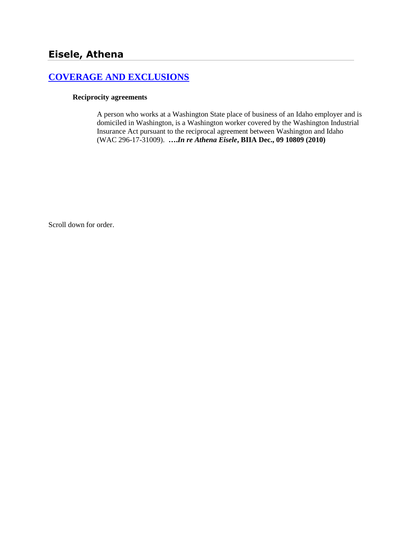# **[COVERAGE AND EXCLUSIONS](http://www.biia.wa.gov/SDSubjectIndex.html#COVERAGE_AND_EXCLUSIONS)**

#### **Reciprocity agreements**

A person who works at a Washington State place of business of an Idaho employer and is domiciled in Washington, is a Washington worker covered by the Washington Industrial Insurance Act pursuant to the reciprocal agreement between Washington and Idaho (WAC 296-17-31009). **….***In re Athena Eisele***, BIIA Dec., 09 10809 (2010)**

Scroll down for order.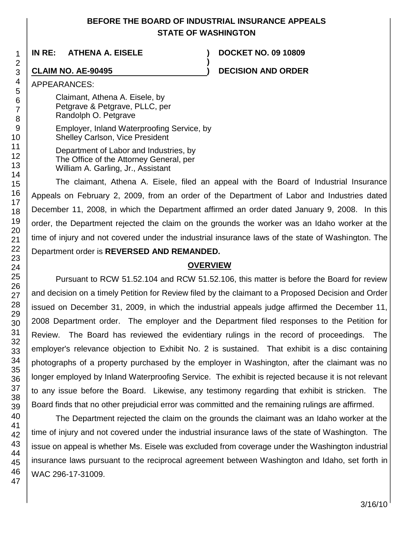## **BEFORE THE BOARD OF INDUSTRIAL INSURANCE APPEALS STATE OF WASHINGTON**

**)**

**IN RE: ATHENA A. EISELE ) DOCKET NO. 09 10809**

### **CLAIM NO. AE-90495 ) DECISION AND ORDER**

APPEARANCES:

Claimant, Athena A. Eisele, by Petgrave & Petgrave, PLLC, per Randolph O. Petgrave

Employer, Inland Waterproofing Service, by Shelley Carlson, Vice President

Department of Labor and Industries, by The Office of the Attorney General, per William A. Garling, Jr., Assistant

The claimant, Athena A. Eisele, filed an appeal with the Board of Industrial Insurance Appeals on February 2, 2009, from an order of the Department of Labor and Industries dated December 11, 2008, in which the Department affirmed an order dated January 9, 2008. In this order, the Department rejected the claim on the grounds the worker was an Idaho worker at the time of injury and not covered under the industrial insurance laws of the state of Washington. The Department order is **REVERSED AND REMANDED.**

#### **OVERVIEW**

Pursuant to RCW 51.52.104 and RCW 51.52.106, this matter is before the Board for review and decision on a timely Petition for Review filed by the claimant to a Proposed Decision and Order issued on December 31, 2009, in which the industrial appeals judge affirmed the December 11, 2008 Department order. The employer and the Department filed responses to the Petition for Review. The Board has reviewed the evidentiary rulings in the record of proceedings. The employer's relevance objection to Exhibit No. 2 is sustained. That exhibit is a disc containing photographs of a property purchased by the employer in Washington, after the claimant was no longer employed by Inland Waterproofing Service. The exhibit is rejected because it is not relevant to any issue before the Board. Likewise, any testimony regarding that exhibit is stricken. The Board finds that no other prejudicial error was committed and the remaining rulings are affirmed.

The Department rejected the claim on the grounds the claimant was an Idaho worker at the time of injury and not covered under the industrial insurance laws of the state of Washington. The issue on appeal is whether Ms. Eisele was excluded from coverage under the Washington industrial insurance laws pursuant to the reciprocal agreement between Washington and Idaho, set forth in WAC 296-17-31009.

47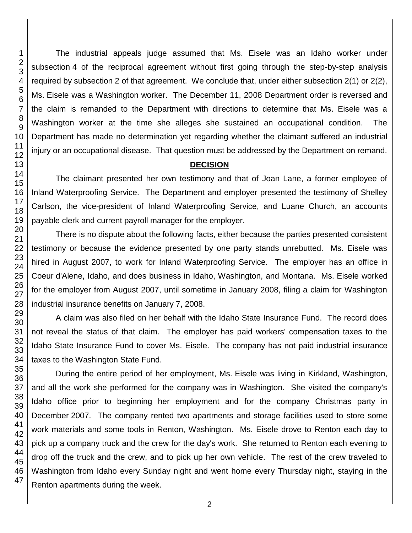The industrial appeals judge assumed that Ms. Eisele was an Idaho worker under subsection 4 of the reciprocal agreement without first going through the step-by-step analysis required by subsection 2 of that agreement. We conclude that, under either subsection 2(1) or 2(2), Ms. Eisele was a Washington worker. The December 11, 2008 Department order is reversed and the claim is remanded to the Department with directions to determine that Ms. Eisele was a Washington worker at the time she alleges she sustained an occupational condition. The Department has made no determination yet regarding whether the claimant suffered an industrial injury or an occupational disease. That question must be addressed by the Department on remand.

#### **DECISION**

The claimant presented her own testimony and that of Joan Lane, a former employee of Inland Waterproofing Service. The Department and employer presented the testimony of Shelley Carlson, the vice-president of Inland Waterproofing Service, and Luane Church, an accounts payable clerk and current payroll manager for the employer.

There is no dispute about the following facts, either because the parties presented consistent testimony or because the evidence presented by one party stands unrebutted. Ms. Eisele was hired in August 2007, to work for Inland Waterproofing Service. The employer has an office in Coeur d'Alene, Idaho, and does business in Idaho, Washington, and Montana. Ms. Eisele worked for the employer from August 2007, until sometime in January 2008, filing a claim for Washington industrial insurance benefits on January 7, 2008.

A claim was also filed on her behalf with the Idaho State Insurance Fund. The record does not reveal the status of that claim. The employer has paid workers' compensation taxes to the Idaho State Insurance Fund to cover Ms. Eisele. The company has not paid industrial insurance taxes to the Washington State Fund.

During the entire period of her employment, Ms. Eisele was living in Kirkland, Washington, and all the work she performed for the company was in Washington. She visited the company's Idaho office prior to beginning her employment and for the company Christmas party in December 2007. The company rented two apartments and storage facilities used to store some work materials and some tools in Renton, Washington. Ms. Eisele drove to Renton each day to pick up a company truck and the crew for the day's work. She returned to Renton each evening to drop off the truck and the crew, and to pick up her own vehicle. The rest of the crew traveled to Washington from Idaho every Sunday night and went home every Thursday night, staying in the Renton apartments during the week.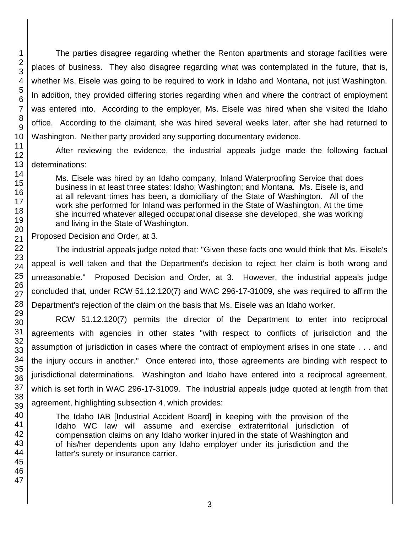The parties disagree regarding whether the Renton apartments and storage facilities were places of business. They also disagree regarding what was contemplated in the future, that is, whether Ms. Eisele was going to be required to work in Idaho and Montana, not just Washington. In addition, they provided differing stories regarding when and where the contract of employment was entered into. According to the employer, Ms. Eisele was hired when she visited the Idaho office. According to the claimant, she was hired several weeks later, after she had returned to Washington. Neither party provided any supporting documentary evidence.

13 After reviewing the evidence, the industrial appeals judge made the following factual determinations:

Ms. Eisele was hired by an Idaho company, Inland Waterproofing Service that does business in at least three states: Idaho; Washington; and Montana. Ms. Eisele is, and at all relevant times has been, a domiciliary of the State of Washington. All of the work she performed for Inland was performed in the State of Washington. At the time she incurred whatever alleged occupational disease she developed, she was working and living in the State of Washington.

Proposed Decision and Order, at 3.

The industrial appeals judge noted that: "Given these facts one would think that Ms. Eisele's appeal is well taken and that the Department's decision to reject her claim is both wrong and unreasonable." Proposed Decision and Order, at 3. However, the industrial appeals judge concluded that, under RCW 51.12.120(7) and WAC 296-17-31009, she was required to affirm the Department's rejection of the claim on the basis that Ms. Eisele was an Idaho worker.

RCW 51.12.120(7) permits the director of the Department to enter into reciprocal agreements with agencies in other states "with respect to conflicts of jurisdiction and the assumption of jurisdiction in cases where the contract of employment arises in one state . . . and the injury occurs in another." Once entered into, those agreements are binding with respect to jurisdictional determinations. Washington and Idaho have entered into a reciprocal agreement, which is set forth in WAC 296-17-31009. The industrial appeals judge quoted at length from that agreement, highlighting subsection 4, which provides:

The Idaho IAB [Industrial Accident Board] in keeping with the provision of the Idaho WC law will assume and exercise extraterritorial jurisdiction of compensation claims on any Idaho worker injured in the state of Washington and of his/her dependents upon any Idaho employer under its jurisdiction and the latter's surety or insurance carrier.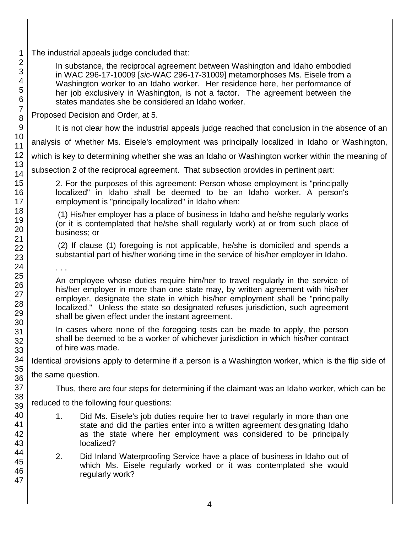| $\mathbf 1$                                     | The industrial appeals judge concluded that:                                                                                                                                                                                                                                                                                                                                                 |  |
|-------------------------------------------------|----------------------------------------------------------------------------------------------------------------------------------------------------------------------------------------------------------------------------------------------------------------------------------------------------------------------------------------------------------------------------------------------|--|
| $\overline{2}$<br>3<br>4<br>$\sqrt{5}$<br>$\,6$ | In substance, the reciprocal agreement between Washington and Idaho embodied<br>in WAC 296-17-10009 [sic-WAC 296-17-31009] metamorphoses Ms. Eisele from a<br>Washington worker to an Idaho worker. Her residence here, her performance of<br>her job exclusively in Washington, is not a factor. The agreement between the<br>states mandates she be considered an Idaho worker.            |  |
| $\overline{7}$<br>8                             | Proposed Decision and Order, at 5.                                                                                                                                                                                                                                                                                                                                                           |  |
| 9                                               | It is not clear how the industrial appeals judge reached that conclusion in the absence of an                                                                                                                                                                                                                                                                                                |  |
| 10<br>11                                        | analysis of whether Ms. Eisele's employment was principally localized in Idaho or Washington,                                                                                                                                                                                                                                                                                                |  |
| 12                                              | which is key to determining whether she was an Idaho or Washington worker within the meaning of                                                                                                                                                                                                                                                                                              |  |
| 13<br>14                                        | subsection 2 of the reciprocal agreement. That subsection provides in pertinent part:                                                                                                                                                                                                                                                                                                        |  |
| 15<br>16<br>17                                  | 2. For the purposes of this agreement: Person whose employment is "principally"<br>localized" in Idaho shall be deemed to be an Idaho worker. A person's<br>employment is "principally localized" in Idaho when:                                                                                                                                                                             |  |
| 18<br>19<br>20                                  | (1) His/her employer has a place of business in Idaho and he/she regularly works<br>(or it is contemplated that he/she shall regularly work) at or from such place of<br>business; or                                                                                                                                                                                                        |  |
| 21<br>22<br>23                                  | (2) If clause (1) foregoing is not applicable, he/she is domiciled and spends a<br>substantial part of his/her working time in the service of his/her employer in Idaho.                                                                                                                                                                                                                     |  |
| 24                                              |                                                                                                                                                                                                                                                                                                                                                                                              |  |
| 25<br>26<br>27<br>28<br>29<br>30                | An employee whose duties require him/her to travel regularly in the service of<br>his/her employer in more than one state may, by written agreement with his/her<br>employer, designate the state in which his/her employment shall be "principally<br>localized." Unless the state so designated refuses jurisdiction, such agreement<br>shall be given effect under the instant agreement. |  |
| 31<br>32<br>33                                  | In cases where none of the foregoing tests can be made to apply, the person<br>shall be deemed to be a worker of whichever jurisdiction in which his/her contract<br>of hire was made.                                                                                                                                                                                                       |  |
| 34                                              | Identical provisions apply to determine if a person is a Washington worker, which is the flip side of                                                                                                                                                                                                                                                                                        |  |
| 35<br>36                                        | the same question.                                                                                                                                                                                                                                                                                                                                                                           |  |
| 37                                              | Thus, there are four steps for determining if the claimant was an Idaho worker, which can be                                                                                                                                                                                                                                                                                                 |  |
| 38<br>39                                        | reduced to the following four questions:                                                                                                                                                                                                                                                                                                                                                     |  |
| 40<br>41<br>42<br>43                            | Did Ms. Eisele's job duties require her to travel regularly in more than one<br>1.<br>state and did the parties enter into a written agreement designating Idaho<br>as the state where her employment was considered to be principally<br>localized?                                                                                                                                         |  |
| 44<br>45<br>46<br>47                            | 2.<br>Did Inland Waterproofing Service have a place of business in Idaho out of<br>which Ms. Eisele regularly worked or it was contemplated she would<br>regularly work?                                                                                                                                                                                                                     |  |
|                                                 |                                                                                                                                                                                                                                                                                                                                                                                              |  |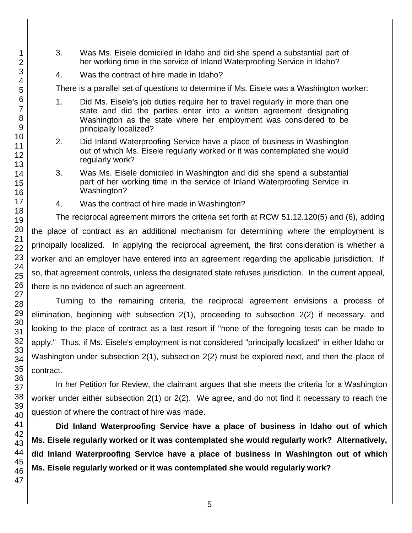- 3. Was Ms. Eisele domiciled in Idaho and did she spend a substantial part of her working time in the service of Inland Waterproofing Service in Idaho?
- 4. Was the contract of hire made in Idaho?

There is a parallel set of questions to determine if Ms. Eisele was a Washington worker:

- 1. Did Ms. Eisele's job duties require her to travel regularly in more than one state and did the parties enter into a written agreement designating Washington as the state where her employment was considered to be principally localized?
- 2. Did Inland Waterproofing Service have a place of business in Washington out of which Ms. Eisele regularly worked or it was contemplated she would regularly work?
- 3. Was Ms. Eisele domiciled in Washington and did she spend a substantial part of her working time in the service of Inland Waterproofing Service in Washington?
- 4. Was the contract of hire made in Washington?

The reciprocal agreement mirrors the criteria set forth at RCW 51.12.120(5) and (6), adding the place of contract as an additional mechanism for determining where the employment is principally localized. In applying the reciprocal agreement, the first consideration is whether a worker and an employer have entered into an agreement regarding the applicable jurisdiction. If so, that agreement controls, unless the designated state refuses jurisdiction. In the current appeal, there is no evidence of such an agreement.

Turning to the remaining criteria, the reciprocal agreement envisions a process of elimination, beginning with subsection 2(1), proceeding to subsection 2(2) if necessary, and looking to the place of contract as a last resort if "none of the foregoing tests can be made to apply." Thus, if Ms. Eisele's employment is not considered "principally localized" in either Idaho or Washington under subsection 2(1), subsection 2(2) must be explored next, and then the place of contract.

In her Petition for Review, the claimant argues that she meets the criteria for a Washington worker under either subsection 2(1) or 2(2). We agree, and do not find it necessary to reach the question of where the contract of hire was made.

**Did Inland Waterproofing Service have a place of business in Idaho out of which Ms. Eisele regularly worked or it was contemplated she would regularly work? Alternatively, did Inland Waterproofing Service have a place of business in Washington out of which Ms. Eisele regularly worked or it was contemplated she would regularly work?**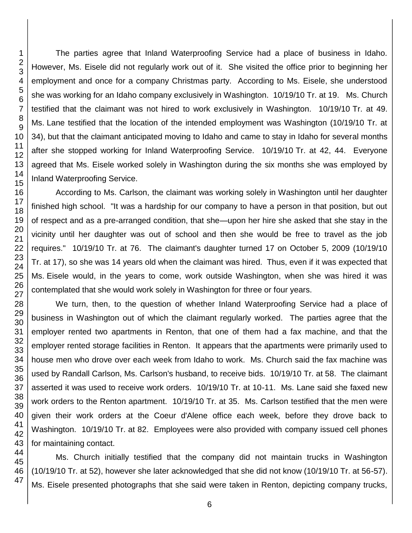1

The parties agree that Inland Waterproofing Service had a place of business in Idaho. However, Ms. Eisele did not regularly work out of it. She visited the office prior to beginning her employment and once for a company Christmas party. According to Ms. Eisele, she understood she was working for an Idaho company exclusively in Washington. 10/19/10 Tr. at 19. Ms. Church testified that the claimant was not hired to work exclusively in Washington. 10/19/10 Tr. at 49. Ms. Lane testified that the location of the intended employment was Washington (10/19/10 Tr. at 34), but that the claimant anticipated moving to Idaho and came to stay in Idaho for several months after she stopped working for Inland Waterproofing Service. 10/19/10 Tr. at 42, 44. Everyone agreed that Ms. Eisele worked solely in Washington during the six months she was employed by Inland Waterproofing Service.

According to Ms. Carlson, the claimant was working solely in Washington until her daughter finished high school. "It was a hardship for our company to have a person in that position, but out of respect and as a pre-arranged condition, that she—upon her hire she asked that she stay in the vicinity until her daughter was out of school and then she would be free to travel as the job requires." 10/19/10 Tr. at 76. The claimant's daughter turned 17 on October 5, 2009 (10/19/10 Tr. at 17), so she was 14 years old when the claimant was hired. Thus, even if it was expected that Ms. Eisele would, in the years to come, work outside Washington, when she was hired it was contemplated that she would work solely in Washington for three or four years.

We turn, then, to the question of whether Inland Waterproofing Service had a place of business in Washington out of which the claimant regularly worked. The parties agree that the employer rented two apartments in Renton, that one of them had a fax machine, and that the employer rented storage facilities in Renton. It appears that the apartments were primarily used to house men who drove over each week from Idaho to work. Ms. Church said the fax machine was used by Randall Carlson, Ms. Carlson's husband, to receive bids. 10/19/10 Tr. at 58. The claimant asserted it was used to receive work orders. 10/19/10 Tr. at 10-11. Ms. Lane said she faxed new work orders to the Renton apartment. 10/19/10 Tr. at 35. Ms. Carlson testified that the men were given their work orders at the Coeur d'Alene office each week, before they drove back to Washington. 10/19/10 Tr. at 82. Employees were also provided with company issued cell phones for maintaining contact.

Ms. Church initially testified that the company did not maintain trucks in Washington (10/19/10 Tr. at 52), however she later acknowledged that she did not know (10/19/10 Tr. at 56-57). Ms. Eisele presented photographs that she said were taken in Renton, depicting company trucks,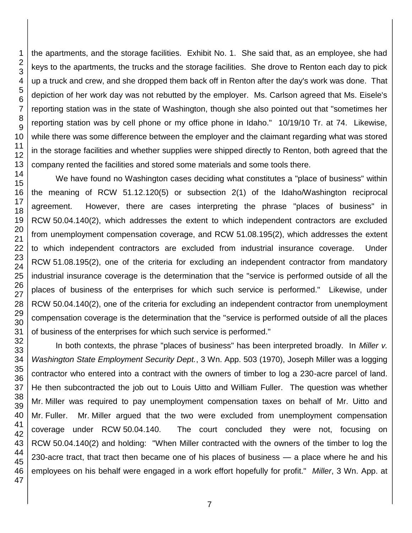the apartments, and the storage facilities. Exhibit No. 1. She said that, as an employee, she had keys to the apartments, the trucks and the storage facilities. She drove to Renton each day to pick up a truck and crew, and she dropped them back off in Renton after the day's work was done. That depiction of her work day was not rebutted by the employer. Ms. Carlson agreed that Ms. Eisele's reporting station was in the state of Washington, though she also pointed out that "sometimes her reporting station was by cell phone or my office phone in Idaho." 10/19/10 Tr. at 74. Likewise, while there was some difference between the employer and the claimant regarding what was stored in the storage facilities and whether supplies were shipped directly to Renton, both agreed that the company rented the facilities and stored some materials and some tools there.

 We have found no Washington cases deciding what constitutes a "place of business" within the meaning of RCW 51.12.120(5) or subsection 2(1) of the Idaho/Washington reciprocal agreement. However, there are cases interpreting the phrase "places of business" in RCW 50.04.140(2), which addresses the extent to which independent contractors are excluded from unemployment compensation coverage, and RCW 51.08.195(2), which addresses the extent to which independent contractors are excluded from industrial insurance coverage. Under RCW 51.08.195(2), one of the criteria for excluding an independent contractor from mandatory industrial insurance coverage is the determination that the "service is performed outside of all the places of business of the enterprises for which such service is performed." Likewise, under RCW 50.04.140(2), one of the criteria for excluding an independent contractor from unemployment compensation coverage is the determination that the "service is performed outside of all the places of business of the enterprises for which such service is performed."

 In both contexts, the phrase "places of business" has been interpreted broadly. In *Miller v. Washington State Employment Security Dept.*, 3 Wn. App. 503 (1970), Joseph Miller was a logging contractor who entered into a contract with the owners of timber to log a 230-acre parcel of land. He then subcontracted the job out to Louis Uitto and William Fuller. The question was whether Mr. Miller was required to pay unemployment compensation taxes on behalf of Mr. Uitto and Mr. Fuller. Mr. Miller argued that the two were excluded from unemployment compensation coverage under RCW 50.04.140. The court concluded they were not, focusing on RCW 50.04.140(2) and holding: "When Miller contracted with the owners of the timber to log the 230-acre tract, that tract then became one of his places of business — a place where he and his employees on his behalf were engaged in a work effort hopefully for profit." *Miller*, 3 Wn. App. at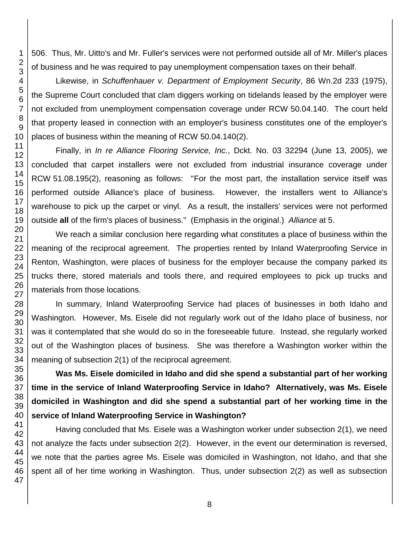506. Thus, Mr. Uitto's and Mr. Fuller's services were not performed outside all of Mr. Miller's places of business and he was required to pay unemployment compensation taxes on their behalf.

Likewise, in *Schuffenhauer v. Department of Employment Security*, 86 Wn.2d 233 (1975), the Supreme Court concluded that clam diggers working on tidelands leased by the employer were not excluded from unemployment compensation coverage under RCW 50.04.140. The court held that property leased in connection with an employer's business constitutes one of the employer's places of business within the meaning of RCW 50.04.140(2).

Finally, in *In re Alliance Flooring Service, Inc.*, Dckt. No. 03 32294 (June 13, 2005), we concluded that carpet installers were not excluded from industrial insurance coverage under RCW 51.08.195(2), reasoning as follows: "For the most part, the installation service itself was performed outside Alliance's place of business. However, the installers went to Alliance's warehouse to pick up the carpet or vinyl. As a result, the installers' services were not performed outside **all** of the firm's places of business." (Emphasis in the original.) *Alliance* at 5.

We reach a similar conclusion here regarding what constitutes a place of business within the meaning of the reciprocal agreement. The properties rented by Inland Waterproofing Service in Renton, Washington, were places of business for the employer because the company parked its trucks there, stored materials and tools there, and required employees to pick up trucks and materials from those locations.

In summary, Inland Waterproofing Service had places of businesses in both Idaho and Washington. However, Ms. Eisele did not regularly work out of the Idaho place of business, nor was it contemplated that she would do so in the foreseeable future. Instead, she regularly worked out of the Washington places of business. She was therefore a Washington worker within the meaning of subsection 2(1) of the reciprocal agreement.

**Was Ms. Eisele domiciled in Idaho and did she spend a substantial part of her working time in the service of Inland Waterproofing Service in Idaho? Alternatively, was Ms. Eisele domiciled in Washington and did she spend a substantial part of her working time in the service of Inland Waterproofing Service in Washington?**

Having concluded that Ms. Eisele was a Washington worker under subsection 2(1), we need not analyze the facts under subsection 2(2). However, in the event our determination is reversed, we note that the parties agree Ms. Eisele was domiciled in Washington, not Idaho, and that she spent all of her time working in Washington. Thus, under subsection 2(2) as well as subsection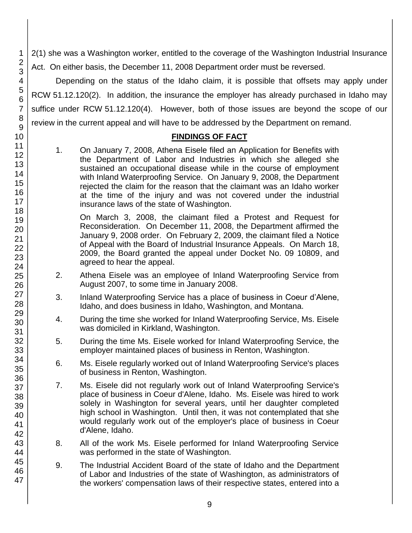2(1) she was a Washington worker, entitled to the coverage of the Washington Industrial Insurance Act. On either basis, the December 11, 2008 Department order must be reversed.

Depending on the status of the Idaho claim, it is possible that offsets may apply under RCW 51.12.120(2). In addition, the insurance the employer has already purchased in Idaho may suffice under RCW 51.12.120(4). However, both of those issues are beyond the scope of our review in the current appeal and will have to be addressed by the Department on remand.

#### **FINDINGS OF FACT**

1. On January 7, 2008, Athena Eisele filed an Application for Benefits with the Department of Labor and Industries in which she alleged she sustained an occupational disease while in the course of employment with Inland Waterproofing Service. On January 9, 2008, the Department rejected the claim for the reason that the claimant was an Idaho worker at the time of the injury and was not covered under the industrial insurance laws of the state of Washington.

On March 3, 2008, the claimant filed a Protest and Request for Reconsideration. On December 11, 2008, the Department affirmed the January 9, 2008 order. On February 2, 2009, the claimant filed a Notice of Appeal with the Board of Industrial Insurance Appeals. On March 18, 2009, the Board granted the appeal under Docket No. 09 10809, and agreed to hear the appeal.

- 2. Athena Eisele was an employee of Inland Waterproofing Service from August 2007, to some time in January 2008.
- 3. Inland Waterproofing Service has a place of business in Coeur d'Alene, Idaho, and does business in Idaho, Washington, and Montana.
- 4. During the time she worked for Inland Waterproofing Service, Ms. Eisele was domiciled in Kirkland, Washington.
- 5. During the time Ms. Eisele worked for Inland Waterproofing Service, the employer maintained places of business in Renton, Washington.
- 6. Ms. Eisele regularly worked out of Inland Waterproofing Service's places of business in Renton, Washington.
- 7. Ms. Eisele did not regularly work out of Inland Waterproofing Service's place of business in Coeur d'Alene, Idaho. Ms. Eisele was hired to work solely in Washington for several years, until her daughter completed high school in Washington. Until then, it was not contemplated that she would regularly work out of the employer's place of business in Coeur d'Alene, Idaho.
- 8. All of the work Ms. Eisele performed for Inland Waterproofing Service was performed in the state of Washington.
- 9. The Industrial Accident Board of the state of Idaho and the Department of Labor and Industries of the state of Washington, as administrators of the workers' compensation laws of their respective states, entered into a